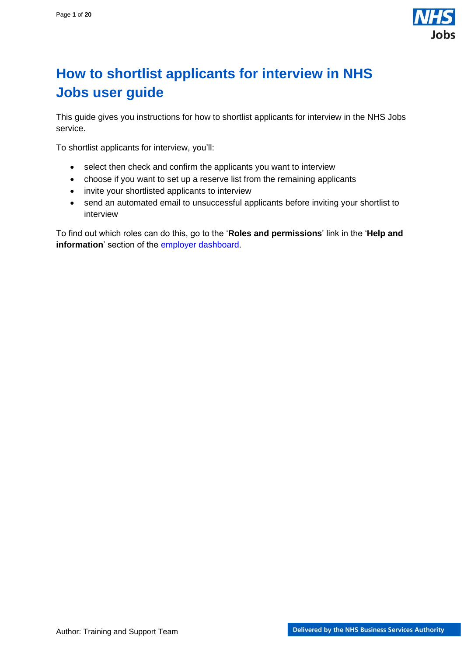

# <span id="page-0-0"></span>**How to shortlist applicants for interview in NHS Jobs user guide**

This guide gives you instructions for how to shortlist applicants for interview in the NHS Jobs service.

To shortlist applicants for interview, you'll:

- select then check and confirm the applicants you want to interview
- choose if you want to set up a reserve list from the remaining applicants
- invite your shortlisted applicants to interview
- send an automated email to unsuccessful applicants before inviting your shortlist to interview

To find out which roles can do this, go to the '**Roles and permissions**' link in the '**Help and information**' section of the [employer dashboard.](https://beta.jobs.nhs.uk/home)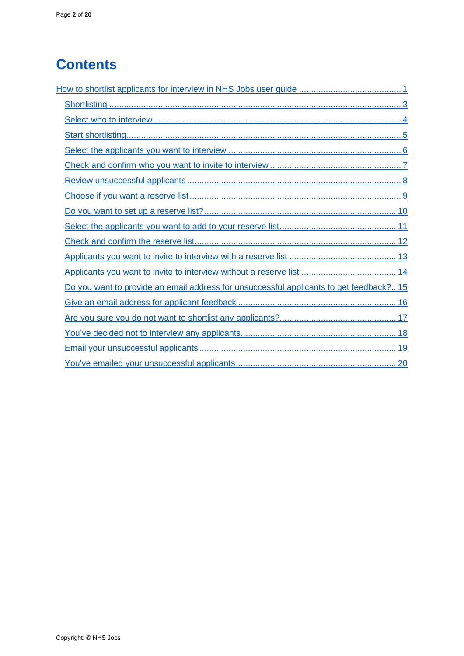# **Contents**

| Do you want to provide an email address for unsuccessful applicants to get feedback? 15 |
|-----------------------------------------------------------------------------------------|
|                                                                                         |
|                                                                                         |
|                                                                                         |
|                                                                                         |
|                                                                                         |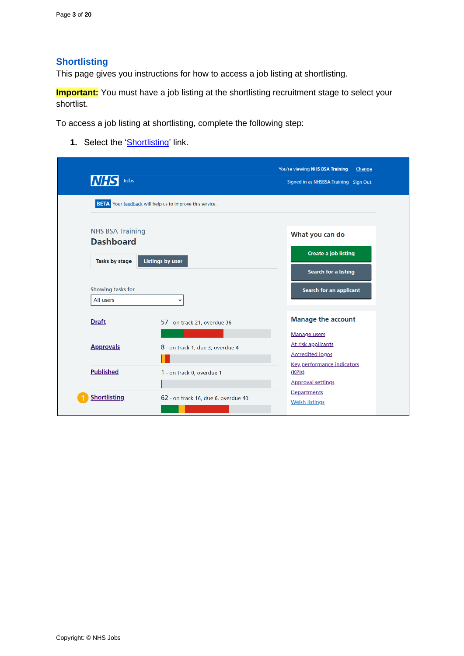## <span id="page-2-0"></span>**Shortlisting**

This page gives you instructions for how to access a job listing at shortlisting.

**Important:** You must have a job listing at the shortlisting recruitment stage to select your shortlist.

To access a job listing at shortlisting, complete the following step:

**1.** Select the '**Shortlisting'** link.

| <b>NHS</b><br><b>Jobs</b> |                                                                 | You're viewing NHS BSA Training<br>Change<br>Signed in as NHSBSA Training Sign Out |
|---------------------------|-----------------------------------------------------------------|------------------------------------------------------------------------------------|
|                           | <b>BETA</b> Your feedback will help us to improve this service. |                                                                                    |
| <b>NHS BSA Training</b>   |                                                                 | What you can do                                                                    |
| <b>Dashboard</b>          |                                                                 |                                                                                    |
| Tasks by stage            | <b>Listings by user</b>                                         | <b>Create a job listing</b>                                                        |
|                           |                                                                 | <b>Search for a listing</b>                                                        |
| Showing tasks for         |                                                                 | <b>Search for an applicant</b>                                                     |
| All users                 | $\check{ }$                                                     |                                                                                    |
| <b>Draft</b>              | 57 - on track 21, overdue 36                                    | <b>Manage the account</b>                                                          |
|                           |                                                                 | <b>Manage users</b>                                                                |
| <b>Approvals</b>          | 8 - on track 1, due 3, overdue 4                                | At risk applicants                                                                 |
|                           |                                                                 | <b>Accredited logos</b>                                                            |
| <b>Published</b>          | 1 - on track 0, overdue 1                                       | <b>Key performance indicators</b><br>(KPIS)                                        |
|                           |                                                                 | <b>Approval settings</b>                                                           |
| <b>Shortlisting</b>       | 62 - on track 16, due 6, overdue 40                             | Departments<br><b>Welsh listings</b>                                               |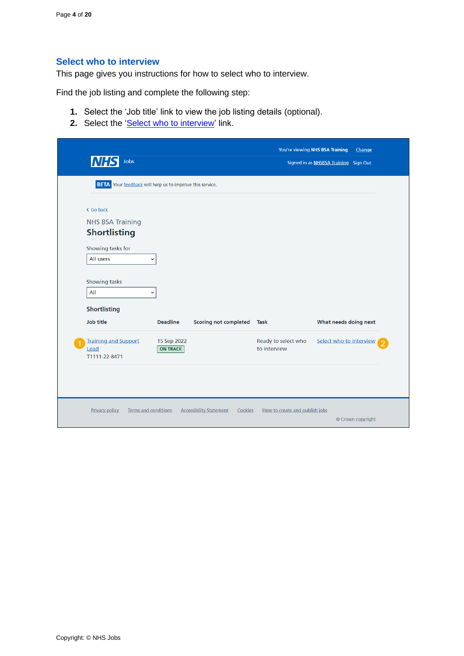## <span id="page-3-0"></span>**Select who to interview**

This page gives you instructions for how to select who to interview.

Find the job listing and complete the following step:

- **1.** Select the 'Job title' link to view the job listing details (optional).
- 2. Select the ['Select who to interview'](#page-4-0) link.

| Jobs<br><b>NHS</b>                                              |                                |                                           |                                     | You're viewing NHS BSA Training<br>Change<br>Signed in as NHSBSA Training Sign Out |
|-----------------------------------------------------------------|--------------------------------|-------------------------------------------|-------------------------------------|------------------------------------------------------------------------------------|
| <b>BETA</b> Your feedback will help us to improve this service. |                                |                                           |                                     |                                                                                    |
| < Go back<br><b>NHS BSA Training</b><br><b>Shortlisting</b>     |                                |                                           |                                     |                                                                                    |
| Showing tasks for<br>All users                                  | $\check{ }$                    |                                           |                                     |                                                                                    |
| Showing tasks<br>All                                            | $\checkmark$                   |                                           |                                     |                                                                                    |
| <b>Shortlisting</b><br>Job title                                | <b>Deadline</b>                | <b>Scoring not completed</b>              | <b>Task</b>                         | What needs doing next                                                              |
| <b>Training and Support</b><br>Lead<br>T1111-22-8471            | 15 Sep 2022<br><b>ON TRACK</b> |                                           | Ready to select who<br>to interview | Select who to interview                                                            |
|                                                                 |                                |                                           |                                     |                                                                                    |
| <b>Terms and conditions</b><br><b>Privacy policy</b>            |                                | <b>Accessibility Statement</b><br>Cookies | How to create and publish jobs      | © Crown copyright                                                                  |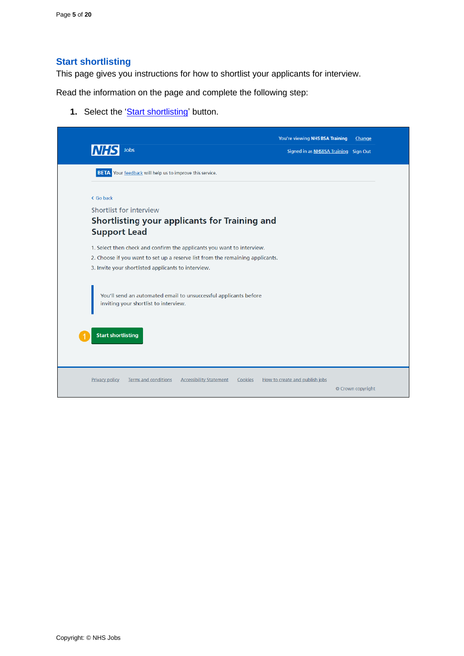## <span id="page-4-0"></span>**Start shortlisting**

This page gives you instructions for how to shortlist your applicants for interview.

Read the information on the page and complete the following step:

**1.** Select the '**Start shortlisting'** button.

| Jobs                                                                                                                                                                                                           | You're viewing NHS BSA Training<br>Signed in as NHSBSA Training Sign Out | Change            |
|----------------------------------------------------------------------------------------------------------------------------------------------------------------------------------------------------------------|--------------------------------------------------------------------------|-------------------|
| <b>BETA</b> Your feedback will help us to improve this service.                                                                                                                                                |                                                                          |                   |
| < Go back<br>Shortlist for interview<br>Shortlisting your applicants for Training and<br><b>Support Lead</b>                                                                                                   |                                                                          |                   |
| 1. Select then check and confirm the applicants you want to interview.<br>2. Choose if you want to set up a reserve list from the remaining applicants.<br>3. Invite your shortlisted applicants to interview. |                                                                          |                   |
| You'll send an automated email to unsuccessful applicants before<br>inviting your shortlist to interview.                                                                                                      |                                                                          |                   |
| <b>Start shortlisting</b>                                                                                                                                                                                      |                                                                          |                   |
| <b>Terms and conditions</b><br><b>Accessibility Statement</b><br><b>Privacy policy</b><br>Cookies                                                                                                              | How to create and publish jobs                                           | © Crown copyright |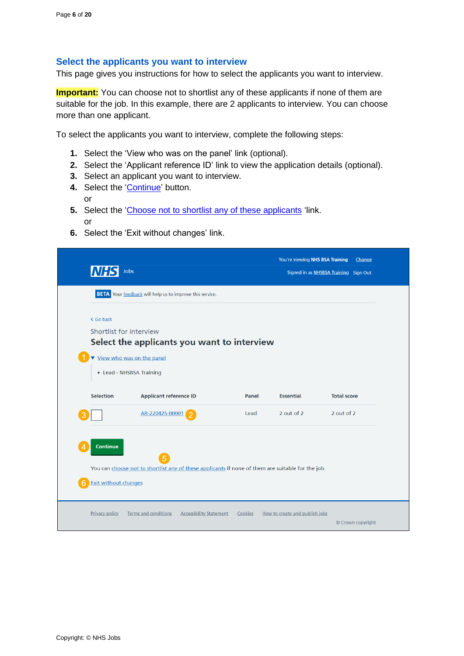## <span id="page-5-0"></span>**Select the applicants you want to interview**

This page gives you instructions for how to select the applicants you want to interview.

**Important:** You can choose not to shortlist any of these applicants if none of them are suitable for the job. In this example, there are 2 applicants to interview. You can choose more than one applicant.

To select the applicants you want to interview, complete the following steps:

- **1.** Select the 'View who was on the panel' link (optional).
- **2.** Select the 'Applicant reference ID' link to view the application details (optional).
- **3.** Select an applicant you want to interview.
- **4.** Select the ['Continue'](#page-6-0) button. or
- **5.** Select the ['Choose not to shortlist any of these applicants](#page-16-0) 'link.  $\alpha$ r
- **6.** Select the 'Exit without changes' link.

| <b>NHS</b>       | Jobs                                                                                              |       | You're viewing NHS BSA Training | Change<br>Signed in as NHSBSA Training Sign Out |
|------------------|---------------------------------------------------------------------------------------------------|-------|---------------------------------|-------------------------------------------------|
|                  | <b>BETA</b> Your feedback will help us to improve this service.                                   |       |                                 |                                                 |
| < Go back        |                                                                                                   |       |                                 |                                                 |
|                  | Shortlist for interview                                                                           |       |                                 |                                                 |
|                  | Select the applicants you want to interview                                                       |       |                                 |                                                 |
|                  | View who was on the panel                                                                         |       |                                 |                                                 |
|                  |                                                                                                   |       |                                 |                                                 |
|                  | • Lead - NHSBSA Training                                                                          |       |                                 |                                                 |
| <b>Selection</b> | <b>Applicant reference ID</b>                                                                     | Panel | <b>Essential</b>                | <b>Total score</b>                              |
|                  | AR-220425-00001                                                                                   | Lead  | 2 out of 2                      | 2 out of 2                                      |
| Continue         | 5                                                                                                 |       |                                 |                                                 |
|                  | You can choose not to shortlist any of these applicants if none of them are suitable for the job. |       |                                 |                                                 |
|                  | <b>Exit without changes</b>                                                                       |       |                                 |                                                 |
|                  |                                                                                                   |       |                                 |                                                 |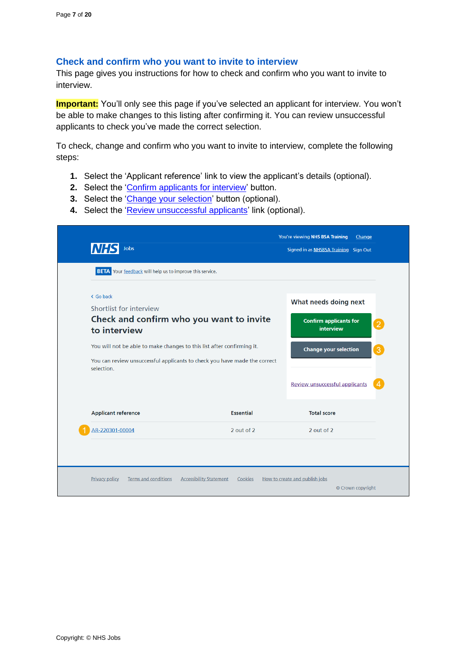## <span id="page-6-0"></span>**Check and confirm who you want to invite to interview**

This page gives you instructions for how to check and confirm who you want to invite to interview.

**Important:** You'll only see this page if you've selected an applicant for interview. You won't be able to make changes to this listing after confirming it. You can review unsuccessful applicants to check you've made the correct selection.

To check, change and confirm who you want to invite to interview, complete the following steps:

- **1.** Select the 'Applicant reference' link to view the applicant's details (optional).
- **2.** Select the ['Confirm applicants for interview'](#page-8-0) button.
- **3.** Select the ['Change your selection'](#page-5-0) button (optional).
- 4. Select the ['Review unsuccessful applicants'](#page-7-0) link (optional).

| <b>Jobs</b><br><b>INHS</b>                                                                                                                          |                  | You're viewing NHS BSA Training<br>Change<br>Signed in as NHSBSA Training Sign Out |
|-----------------------------------------------------------------------------------------------------------------------------------------------------|------------------|------------------------------------------------------------------------------------|
| <b>BETA</b> Your feedback will help us to improve this service.                                                                                     |                  |                                                                                    |
| < Go back<br>Shortlist for interview                                                                                                                |                  | What needs doing next                                                              |
| Check and confirm who you want to invite<br>to interview                                                                                            |                  | <b>Confirm applicants for</b><br>$\left\lfloor 2 \right\rfloor$<br>interview       |
| You will not be able to make changes to this list after confirming it.<br>You can review unsuccessful applicants to check you have made the correct |                  | $\left  \right $<br><b>Change your selection</b>                                   |
| selection.                                                                                                                                          |                  | Review unsuccessful applicants                                                     |
| <b>Applicant reference</b>                                                                                                                          | <b>Essential</b> | <b>Total score</b>                                                                 |
| AR-220301-00004                                                                                                                                     | 2 out of 2       | 2 out of 2                                                                         |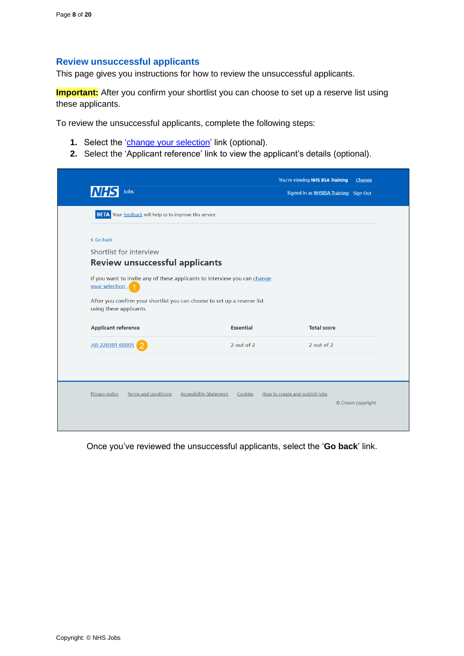#### <span id="page-7-0"></span>**Review unsuccessful applicants**

This page gives you instructions for how to review the unsuccessful applicants.

**Important:** After you confirm your shortlist you can choose to set up a reserve list using these applicants.

To review the unsuccessful applicants, complete the following steps:

- **1.** Select the ['change your selection'](#page-5-0) link (optional).
- **2.** Select the 'Applicant reference' link to view the applicant's details (optional).

| <b>NHS</b><br>Jobs                                                                                        | You're viewing NHS BSA Training<br>Change<br>Signed in as NHSBSA Training Sign Out |  |
|-----------------------------------------------------------------------------------------------------------|------------------------------------------------------------------------------------|--|
| <b>BETA</b> Your feedback will help us to improve this service.                                           |                                                                                    |  |
| < Go back                                                                                                 |                                                                                    |  |
| Shortlist for interview                                                                                   |                                                                                    |  |
| <b>Review unsuccessful applicants</b>                                                                     |                                                                                    |  |
| If you want to invite any of these applicants to interview you can change<br>your selection. <sup>1</sup> |                                                                                    |  |
| After you confirm your shortlist you can choose to set up a reserve list<br>using these applicants.       |                                                                                    |  |
| <b>Applicant reference</b>                                                                                | <b>Essential</b><br><b>Total score</b>                                             |  |
| AR-220301-00005                                                                                           | 2 out of 2<br>2 out of 2                                                           |  |
|                                                                                                           |                                                                                    |  |
|                                                                                                           |                                                                                    |  |
|                                                                                                           |                                                                                    |  |
| <b>Privacy policy</b><br><b>Terms and conditions</b>                                                      | <b>Accessibility Statement</b><br>Cookies<br>How to create and publish jobs        |  |
|                                                                                                           | © Crown copyright                                                                  |  |

Once you've reviewed the unsuccessful applicants, select the '**Go back**' link.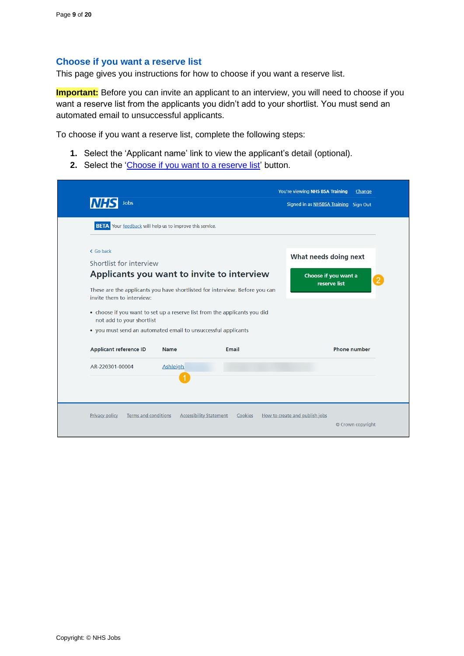## <span id="page-8-0"></span>**Choose if you want a reserve list**

This page gives you instructions for how to choose if you want a reserve list.

**Important:** Before you can invite an applicant to an interview, you will need to choose if you want a reserve list from the applicants you didn't add to your shortlist. You must send an automated email to unsuccessful applicants.

To choose if you want a reserve list, complete the following steps:

- **1.** Select the 'Applicant name' link to view the applicant's detail (optional).
- **2.** Select the ['Choose if you want to a reserve list'](#page-9-0) button.

| <b>BETA</b> Your feedback will help us to improve this service.<br>< Go back<br>What needs doing next<br>Shortlist for interview<br>Applicants you want to invite to interview<br>Choose if you want a<br>reserve list<br>These are the applicants you have shortlisted for interview. Before you can<br>invite them to interview:<br>• choose if you want to set up a reserve list from the applicants you did<br>not add to your shortlist<br>• you must send an automated email to unsuccessful applicants<br><b>Phone number</b><br><b>Applicant reference ID</b><br><b>Email</b><br><b>Name</b><br><b>Ashleigh</b><br>AR-220301-00004 | <b>Jobs</b>           |         | You're viewing NHS BSA Training<br>Change<br>Signed in as NHSBSA Training Sign Out |
|--------------------------------------------------------------------------------------------------------------------------------------------------------------------------------------------------------------------------------------------------------------------------------------------------------------------------------------------------------------------------------------------------------------------------------------------------------------------------------------------------------------------------------------------------------------------------------------------------------------------------------------------|-----------------------|---------|------------------------------------------------------------------------------------|
|                                                                                                                                                                                                                                                                                                                                                                                                                                                                                                                                                                                                                                            |                       |         |                                                                                    |
|                                                                                                                                                                                                                                                                                                                                                                                                                                                                                                                                                                                                                                            |                       |         |                                                                                    |
|                                                                                                                                                                                                                                                                                                                                                                                                                                                                                                                                                                                                                                            |                       |         |                                                                                    |
|                                                                                                                                                                                                                                                                                                                                                                                                                                                                                                                                                                                                                                            |                       |         | 2                                                                                  |
|                                                                                                                                                                                                                                                                                                                                                                                                                                                                                                                                                                                                                                            |                       |         |                                                                                    |
|                                                                                                                                                                                                                                                                                                                                                                                                                                                                                                                                                                                                                                            |                       |         |                                                                                    |
|                                                                                                                                                                                                                                                                                                                                                                                                                                                                                                                                                                                                                                            |                       |         |                                                                                    |
|                                                                                                                                                                                                                                                                                                                                                                                                                                                                                                                                                                                                                                            |                       |         |                                                                                    |
|                                                                                                                                                                                                                                                                                                                                                                                                                                                                                                                                                                                                                                            |                       |         |                                                                                    |
|                                                                                                                                                                                                                                                                                                                                                                                                                                                                                                                                                                                                                                            |                       |         |                                                                                    |
|                                                                                                                                                                                                                                                                                                                                                                                                                                                                                                                                                                                                                                            |                       |         |                                                                                    |
|                                                                                                                                                                                                                                                                                                                                                                                                                                                                                                                                                                                                                                            |                       |         |                                                                                    |
| Terms and conditions<br><b>Accessibility Statement</b>                                                                                                                                                                                                                                                                                                                                                                                                                                                                                                                                                                                     | <b>Privacy policy</b> | Cookies | How to create and publish jobs                                                     |

u.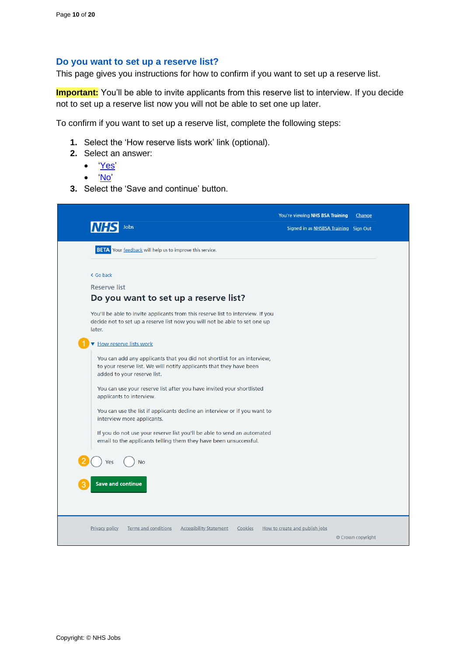#### <span id="page-9-0"></span>**Do you want to set up a reserve list?**

This page gives you instructions for how to confirm if you want to set up a reserve list.

**Important:** You'll be able to invite applicants from this reserve list to interview. If you decide not to set up a reserve list now you will not be able to set one up later.

To confirm if you want to set up a reserve list, complete the following steps:

- **1.** Select the 'How reserve lists work' link (optional).
- **2.** Select an answer:
	- ['Yes'](#page-10-0)
	- ['No'](#page-13-0)
- **3.** Select the 'Save and continue' button.

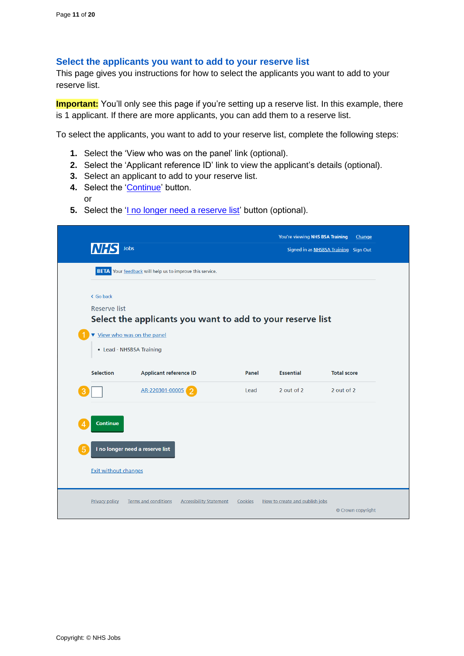## <span id="page-10-0"></span>**Select the applicants you want to add to your reserve list**

This page gives you instructions for how to select the applicants you want to add to your reserve list.

**Important:** You'll only see this page if you're setting up a reserve list. In this example, there is 1 applicant. If there are more applicants, you can add them to a reserve list.

To select the applicants, you want to add to your reserve list, complete the following steps:

- **1.** Select the 'View who was on the panel' link (optional).
- **2.** Select the 'Applicant reference ID' link to view the applicant's details (optional).
- **3.** Select an applicant to add to your reserve list.
- **4.** Select the ['Continue'](#page-11-0) button. or
- **5.** Select the ['I no longer need a reserve list'](#page-13-0) button (optional).

| Jobs<br>Signed in as NHSBSA Training Sign Out<br><b>BETA</b> Your feedback will help us to improve this service.<br>< Go back<br><b>Reserve list</b><br>Select the applicants you want to add to your reserve list<br>View who was on the panel<br>• Lead - NHSBSA Training<br><b>Selection</b><br><b>Applicant reference ID</b><br><b>Essential</b><br><b>Total score</b><br>Panel<br>AR-220301-00005<br>2 out of 2<br>2 out of 2<br>Lead<br><b>Continue</b><br>I no longer need a reserve list<br><b>Exit without changes</b><br><b>Terms and conditions</b><br><b>Privacy policy</b><br><b>Accessibility Statement</b><br>Cookies<br>How to create and publish jobs |            |  | You're viewing NHS BSA Training | Change            |
|------------------------------------------------------------------------------------------------------------------------------------------------------------------------------------------------------------------------------------------------------------------------------------------------------------------------------------------------------------------------------------------------------------------------------------------------------------------------------------------------------------------------------------------------------------------------------------------------------------------------------------------------------------------------|------------|--|---------------------------------|-------------------|
|                                                                                                                                                                                                                                                                                                                                                                                                                                                                                                                                                                                                                                                                        | <b>NHS</b> |  |                                 |                   |
|                                                                                                                                                                                                                                                                                                                                                                                                                                                                                                                                                                                                                                                                        |            |  |                                 |                   |
|                                                                                                                                                                                                                                                                                                                                                                                                                                                                                                                                                                                                                                                                        |            |  |                                 |                   |
|                                                                                                                                                                                                                                                                                                                                                                                                                                                                                                                                                                                                                                                                        |            |  |                                 |                   |
|                                                                                                                                                                                                                                                                                                                                                                                                                                                                                                                                                                                                                                                                        |            |  |                                 |                   |
|                                                                                                                                                                                                                                                                                                                                                                                                                                                                                                                                                                                                                                                                        |            |  |                                 |                   |
|                                                                                                                                                                                                                                                                                                                                                                                                                                                                                                                                                                                                                                                                        |            |  |                                 |                   |
|                                                                                                                                                                                                                                                                                                                                                                                                                                                                                                                                                                                                                                                                        |            |  |                                 |                   |
|                                                                                                                                                                                                                                                                                                                                                                                                                                                                                                                                                                                                                                                                        |            |  |                                 |                   |
|                                                                                                                                                                                                                                                                                                                                                                                                                                                                                                                                                                                                                                                                        |            |  |                                 |                   |
|                                                                                                                                                                                                                                                                                                                                                                                                                                                                                                                                                                                                                                                                        |            |  |                                 |                   |
|                                                                                                                                                                                                                                                                                                                                                                                                                                                                                                                                                                                                                                                                        |            |  |                                 | © Crown copyright |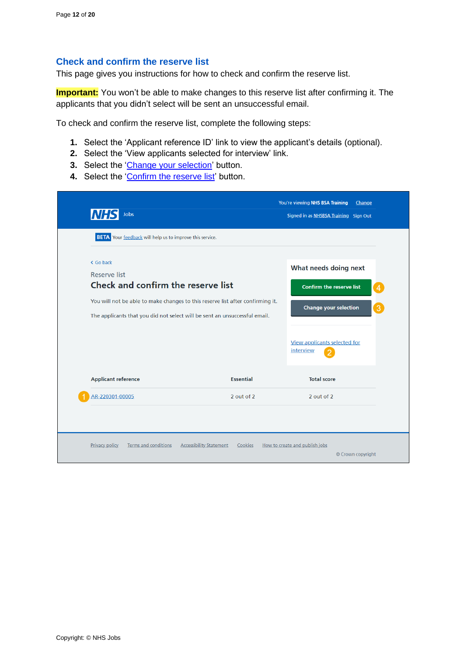## <span id="page-11-0"></span>**Check and confirm the reserve list**

This page gives you instructions for how to check and confirm the reserve list.

**Important:** You won't be able to make changes to this reserve list after confirming it. The applicants that you didn't select will be sent an unsuccessful email.

To check and confirm the reserve list, complete the following steps:

- **1.** Select the 'Applicant reference ID' link to view the applicant's details (optional).
- **2.** Select the 'View applicants selected for interview' link.
- **3.** Select the ['Change your selection'](#page-5-0) button.
- 4. Select the ['Confirm the reserve list'](#page-12-0) button.

| <b>NHS</b><br>Jobs                                                             |                  | You're viewing NHS BSA Training<br>Change<br>Signed in as NHSBSA Training Sign Out |
|--------------------------------------------------------------------------------|------------------|------------------------------------------------------------------------------------|
| <b>BETA</b> Your feedback will help us to improve this service.                |                  |                                                                                    |
| < Go back<br><b>Reserve list</b>                                               |                  | What needs doing next                                                              |
| Check and confirm the reserve list                                             |                  | <b>Confirm the reserve list</b>                                                    |
| You will not be able to make changes to this reserve list after confirming it. |                  | <b>Change your selection</b>                                                       |
| The applicants that you did not select will be sent an unsuccessful email.     |                  | 3                                                                                  |
|                                                                                |                  | View applicants selected for<br>interview                                          |
| <b>Applicant reference</b>                                                     | <b>Essential</b> | <b>Total score</b>                                                                 |
| AR-220301-00005                                                                | 2 out of 2       | 2 out of 2                                                                         |
|                                                                                |                  |                                                                                    |
|                                                                                |                  |                                                                                    |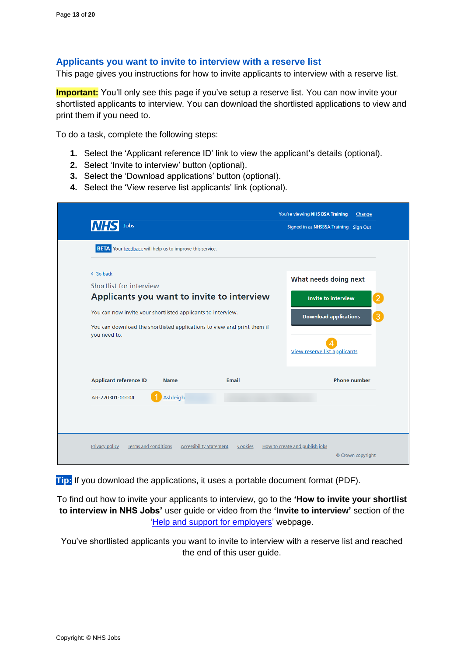## <span id="page-12-0"></span>**Applicants you want to invite to interview with a reserve list**

This page gives you instructions for how to invite applicants to interview with a reserve list.

**Important:** You'll only see this page if you've setup a reserve list. You can now invite your shortlisted applicants to interview. You can download the shortlisted applications to view and print them if you need to.

To do a task, complete the following steps:

- **1.** Select the 'Applicant reference ID' link to view the applicant's details (optional).
- **2.** Select 'Invite to interview' button (optional).
- **3.** Select the 'Download applications' button (optional).
- **4.** Select the 'View reserve list applicants' link (optional).

| <b>BETA</b> Your feedback will help us to improve this service.<br>What needs doing next<br><b>Invite to interview</b><br><b>Download applications</b><br>View reserve list applicants<br><b>Phone number</b><br><b>Email</b><br><b>Name</b><br>Ashleigh | < Go back<br>Shortlist for interview<br>Applicants you want to invite to interview<br>You can now invite your shortlisted applicants to interview.<br>You can download the shortlisted applications to view and print them if<br>you need to.<br><b>Applicant reference ID</b><br>AR-220301-00004 | INHS<br>Jobs | You're viewing NHS BSA Training<br>Change<br>Signed in as NHSBSA Training Sign Out |
|----------------------------------------------------------------------------------------------------------------------------------------------------------------------------------------------------------------------------------------------------------|---------------------------------------------------------------------------------------------------------------------------------------------------------------------------------------------------------------------------------------------------------------------------------------------------|--------------|------------------------------------------------------------------------------------|
|                                                                                                                                                                                                                                                          |                                                                                                                                                                                                                                                                                                   |              |                                                                                    |
|                                                                                                                                                                                                                                                          |                                                                                                                                                                                                                                                                                                   |              | $\mathcal{P}$<br>3                                                                 |
|                                                                                                                                                                                                                                                          |                                                                                                                                                                                                                                                                                                   |              |                                                                                    |
|                                                                                                                                                                                                                                                          |                                                                                                                                                                                                                                                                                                   |              |                                                                                    |

**Tip:** If you download the applications, it uses a portable document format (PDF).

To find out how to invite your applicants to interview, go to the **'How to invite your shortlist to interview in NHS Jobs'** user guide or video from the **'Invite to interview'** section of the ['Help and support for employers'](https://www.nhsbsa.nhs.uk/new-nhs-jobs-service/help-and-support-employers) webpage.

You've shortlisted applicants you want to invite to interview with a reserve list and reached the end of this user guide.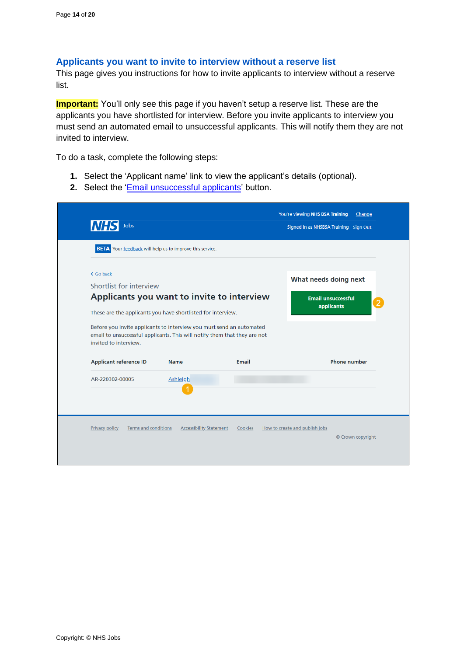## <span id="page-13-0"></span>**Applicants you want to invite to interview without a reserve list**

This page gives you instructions for how to invite applicants to interview without a reserve list.

**Important:** You'll only see this page if you haven't setup a reserve list. These are the applicants you have shortlisted for interview. Before you invite applicants to interview you must send an automated email to unsuccessful applicants. This will notify them they are not invited to interview.

To do a task, complete the following steps:

- **1.** Select the 'Applicant name' link to view the applicant's details (optional).
- **2.** Select the ['Email unsuccessful applicants'](#page-14-0) button.

| < Go back<br>Shortlist for interview<br>Applicants you want to invite to interview                                                                                                                                                         |                                |              | What needs doing next<br><b>Email unsuccessful</b><br>$\overline{2}$<br>applicants |
|--------------------------------------------------------------------------------------------------------------------------------------------------------------------------------------------------------------------------------------------|--------------------------------|--------------|------------------------------------------------------------------------------------|
| These are the applicants you have shortlisted for interview.<br>Before you invite applicants to interview you must send an automated<br>email to unsuccessful applicants. This will notify them that they are not<br>invited to interview. |                                |              |                                                                                    |
| <b>Applicant reference ID</b><br>AR-220302-00005                                                                                                                                                                                           | <b>Name</b><br><b>Ashleigh</b> | <b>Email</b> | <b>Phone number</b>                                                                |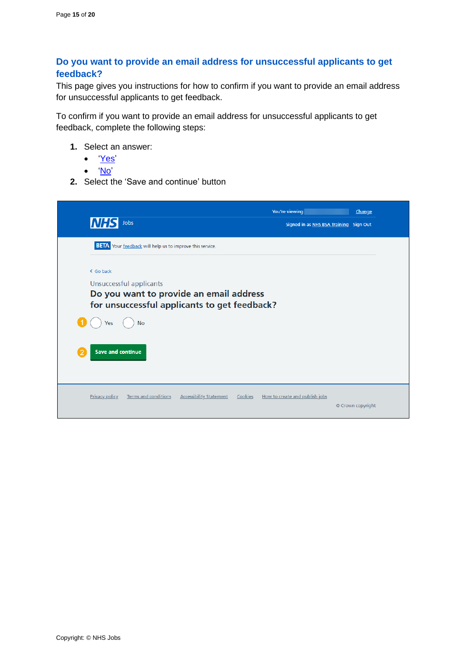## <span id="page-14-0"></span>**Do you want to provide an email address for unsuccessful applicants to get feedback?**

This page gives you instructions for how to confirm if you want to provide an email address for unsuccessful applicants to get feedback.

To confirm if you want to provide an email address for unsuccessful applicants to get feedback, complete the following steps:

- **1.** Select an answer:
	- ['Yes'](#page-15-0)
	- ['No'](#page-16-0)
- **2.** Select the 'Save and continue' button

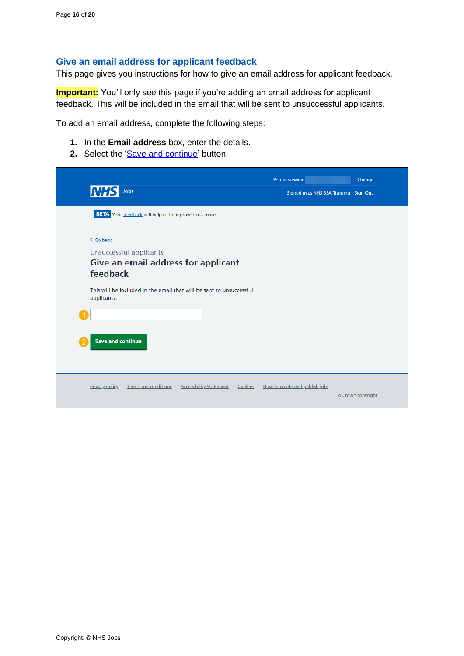## <span id="page-15-0"></span>**Give an email address for applicant feedback**

This page gives you instructions for how to give an email address for applicant feedback.

**Important:** You'll only see this page if you're adding an email address for applicant feedback. This will be included in the email that will be sent to unsuccessful applicants.

To add an email address, complete the following steps:

- **1.** In the **Email address** box, enter the details.
- 2. Select the ['Save and continue'](#page-18-0) button.

| <b>NHS</b><br>Jobs                                                                                                                                                                                                | You're viewing<br>Signed in as NHS BSA Training Sign Out | Change            |
|-------------------------------------------------------------------------------------------------------------------------------------------------------------------------------------------------------------------|----------------------------------------------------------|-------------------|
| <b>BETA</b> Your feedback will help us to improve this service.                                                                                                                                                   |                                                          |                   |
| < Go back<br><b>Unsuccessful applicants</b><br>Give an email address for applicant<br>feedback<br>This will be included in the email that will be sent to unsuccessful<br>applicants.<br><b>Save and continue</b> |                                                          |                   |
| <b>Privacy policy</b><br><b>Terms and conditions</b><br><b>Accessibility Statement</b><br>Cookies                                                                                                                 | How to create and publish jobs                           | © Crown copyright |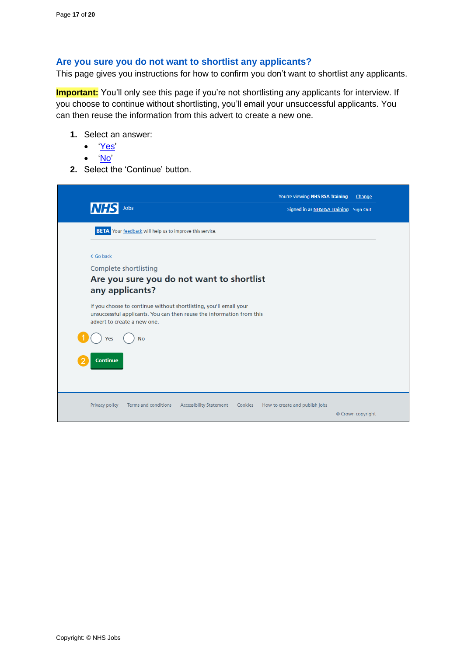## <span id="page-16-0"></span>**Are you sure you do not want to shortlist any applicants?**

This page gives you instructions for how to confirm you don't want to shortlist any applicants.

**Important:** You'll only see this page if you're not shortlisting any applicants for interview. If you choose to continue without shortlisting, you'll email your unsuccessful applicants. You can then reuse the information from this advert to create a new one.

- **1.** Select an answer:
	- ['Yes'](#page-9-0)
	- ['No'](#page-5-0)
- **2.** Select the 'Continue' button.

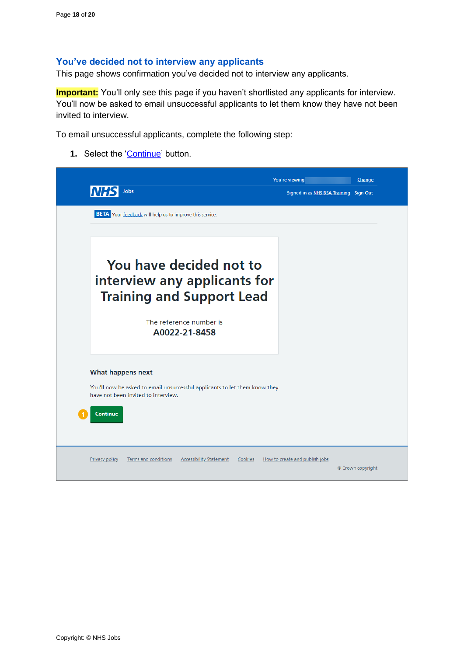## <span id="page-17-0"></span>**You've decided not to interview any applicants**

This page shows confirmation you've decided not to interview any applicants.

**Important:** You'll only see this page if you haven't shortlisted any applicants for interview. You'll now be asked to email unsuccessful applicants to let them know they have not been invited to interview.

To email unsuccessful applicants, complete the following step:

1. Select the ['Continue'](#page-16-0) button.

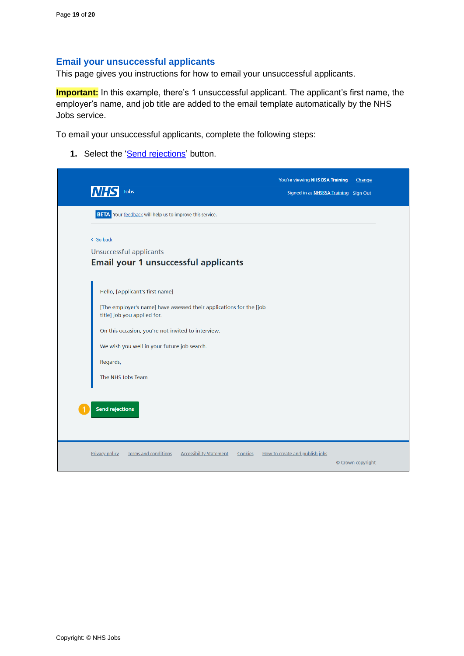## <span id="page-18-0"></span>**Email your unsuccessful applicants**

This page gives you instructions for how to email your unsuccessful applicants.

**Important:** In this example, there's 1 unsuccessful applicant. The applicant's first name, the employer's name, and job title are added to the email template automatically by the NHS Jobs service.

To email your unsuccessful applicants, complete the following steps:

1. Select the ['Send rejections'](#page-19-0) button.